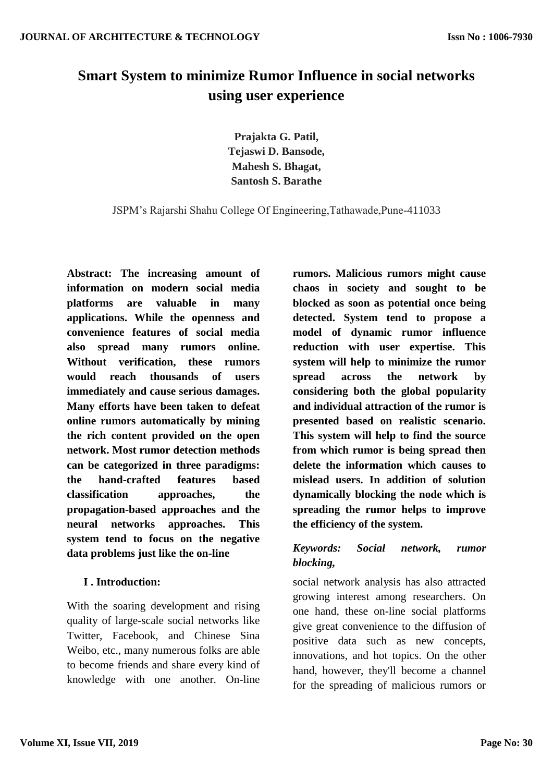# **Smart System to minimize Rumor Influence in social networks using user experience**

**Prajakta G. Patil, Tejaswi D. Bansode, Mahesh S. Bhagat, Santosh S. Barathe**

JSPM's Rajarshi Shahu College Of Engineering,Tathawade,Pune-411033

**Abstract: The increasing amount of information on modern social media platforms are valuable in many applications. While the openness and convenience features of social media also spread many rumors online. Without verification, these rumors would reach thousands of users immediately and cause serious damages. Many efforts have been taken to defeat online rumors automatically by mining the rich content provided on the open network. Most rumor detection methods can be categorized in three paradigms: the hand-crafted features based classification approaches, the propagation-based approaches and the neural networks approaches. This system tend to focus on the negative data problems just like the on-line** 

## **I . Introduction:**

With the soaring development and rising quality of large-scale social networks like Twitter, Facebook, and Chinese Sina Weibo, etc., many numerous folks are able to become friends and share every kind of knowledge with one another. On-line **rumors. Malicious rumors might cause chaos in society and sought to be blocked as soon as potential once being detected. System tend to propose a model of dynamic rumor influence reduction with user expertise. This system will help to minimize the rumor spread across the network by considering both the global popularity and individual attraction of the rumor is presented based on realistic scenario. This system will help to find the source from which rumor is being spread then delete the information which causes to mislead users. In addition of solution dynamically blocking the node which is spreading the rumor helps to improve the efficiency of the system.**

## *Keywords: Social network, rumor blocking,*

social network analysis has also attracted growing interest among researchers. On one hand, these on-line social platforms give great convenience to the diffusion of positive data such as new concepts, innovations, and hot topics. On the other hand, however, they'll become a channel for the spreading of malicious rumors or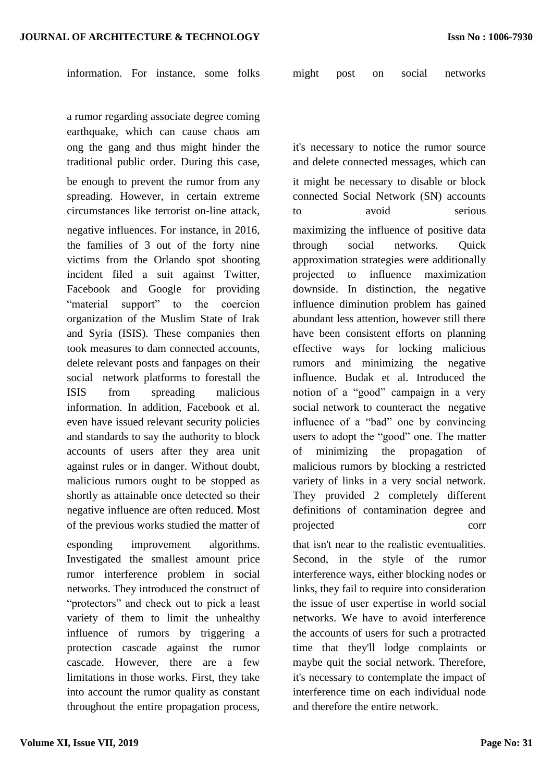a rumor regarding associate degree coming earthquake, which can cause chaos am ong the gang and thus might hinder the traditional public order. During this case,

be enough to prevent the rumor from any spreading. However, in certain extreme circumstances like terrorist on-line attack,

negative influences. For instance, in 2016, the families of 3 out of the forty nine victims from the Orlando spot shooting incident filed a suit against Twitter, Facebook and Google for providing "material support" to the coercion organization of the Muslim State of Irak and Syria (ISIS). These companies then took measures to dam connected accounts, delete relevant posts and fanpages on their social network platforms to forestall the ISIS from spreading malicious information. In addition, Facebook et al. even have issued relevant security policies and standards to say the authority to block accounts of users after they area unit against rules or in danger. Without doubt, malicious rumors ought to be stopped as shortly as attainable once detected so their negative influence are often reduced. Most of the previous works studied the matter of

esponding improvement algorithms. Investigated the smallest amount price rumor interference problem in social networks. They introduced the construct of "protectors" and check out to pick a least variety of them to limit the unhealthy influence of rumors by triggering a protection cascade against the rumor cascade. However, there are a few limitations in those works. First, they take into account the rumor quality as constant throughout the entire propagation process, it's necessary to notice the rumor source and delete connected messages, which can it might be necessary to disable or block connected Social Network (SN) accounts to avoid serious

maximizing the influence of positive data through social networks. Quick approximation strategies were additionally projected to influence maximization downside. In distinction, the negative influence diminution problem has gained abundant less attention, however still there have been consistent efforts on planning effective ways for locking malicious rumors and minimizing the negative influence. Budak et al. Introduced the notion of a "good" campaign in a very social network to counteract the negative influence of a "bad" one by convincing users to adopt the "good" one. The matter of minimizing the propagation of malicious rumors by blocking a restricted variety of links in a very social network. They provided 2 completely different definitions of contamination degree and projected corr

that isn't near to the realistic eventualities. Second, in the style of the rumor interference ways, either blocking nodes or links, they fail to require into consideration the issue of user expertise in world social networks. We have to avoid interference the accounts of users for such a protracted time that they'll lodge complaints or maybe quit the social network. Therefore, it's necessary to contemplate the impact of interference time on each individual node and therefore the entire network.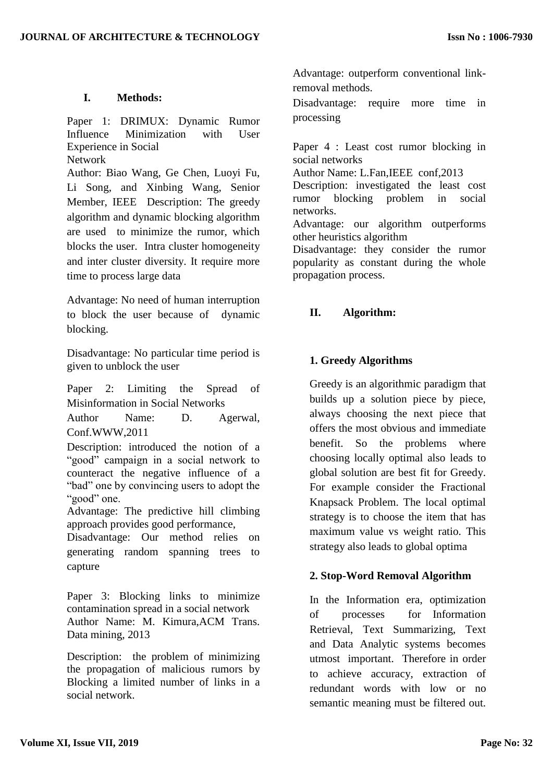#### **I. Methods:**

Paper 1: DRIMUX: Dynamic Rumor Influence Minimization with User Experience in Social Network

Author: Biao Wang, Ge Chen, Luoyi Fu, Li Song, and Xinbing Wang, Senior Member, IEEE Description: The greedy algorithm and dynamic blocking algorithm are used to minimize the rumor, which blocks the user. Intra cluster homogeneity and inter cluster diversity. It require more time to process large data

Advantage: No need of human interruption to block the user because of dynamic blocking.

Disadvantage: No particular time period is given to unblock the user

Paper 2: Limiting the Spread of Misinformation in Social Networks

Author Name: D. Agerwal, Conf.WWW,2011

Description: introduced the notion of a "good" campaign in a social network to counteract the negative influence of a "bad" one by convincing users to adopt the "good" one.

Advantage: The predictive hill climbing approach provides good performance,

Disadvantage: Our method relies on generating random spanning trees to capture

Paper 3: Blocking links to minimize contamination spread in a social network Author Name: M. Kimura,ACM Trans. Data mining, 2013

Description: the problem of minimizing the propagation of malicious rumors by Blocking a limited number of links in a social network.

Advantage: outperform conventional linkremoval methods.

Disadvantage: require more time in processing

Paper 4 : Least cost rumor blocking in social networks

Author Name: L.Fan,IEEE conf,2013

Description: investigated the least cost rumor blocking problem in social networks.

Advantage: our algorithm outperforms other heuristics algorithm

Disadvantage: they consider the rumor popularity as constant during the whole propagation process.

#### **II. Algorithm:**

## **1. Greedy Algorithms**

Greedy is an algorithmic paradigm that builds up a solution piece by piece, always choosing the next piece that offers the most obvious and immediate benefit. So the problems where choosing locally optimal also leads to global solution are best fit for Greedy. For example consider the Fractional Knapsack Problem. The local optimal strategy is to choose the item that has maximum value vs weight ratio. This strategy also leads to global optima

#### **2. Stop-Word Removal Algorithm**

In the Information era, optimization of processes for Information Retrieval, Text Summarizing, Text and Data Analytic systems becomes utmost important. Therefore in order to achieve accuracy, extraction of redundant words with low or no semantic meaning must be filtered out.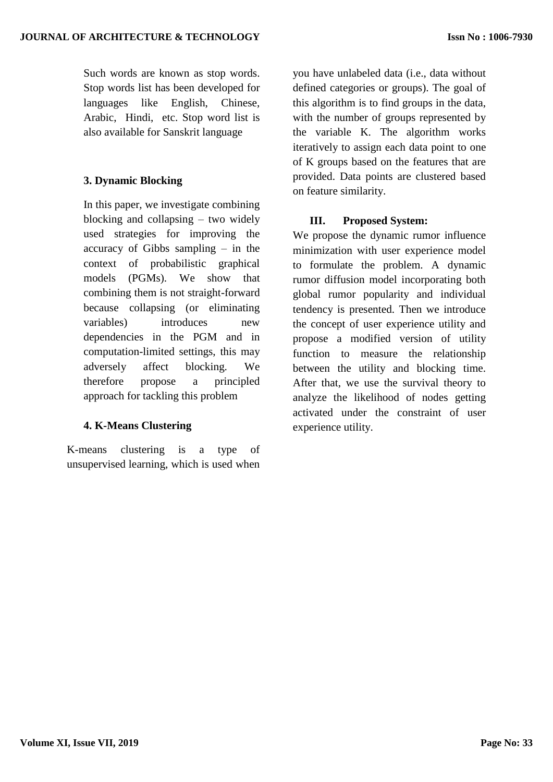Such words are known as stop words. Stop words list has been developed for languages like English, Chinese, Arabic, Hindi, etc. Stop word list is also available for Sanskrit language

## **3. Dynamic Blocking**

In this paper, we investigate combining blocking and collapsing – two widely used strategies for improving the accuracy of Gibbs sampling – in the context of probabilistic graphical models (PGMs). We show that combining them is not straight-forward because collapsing (or eliminating variables) introduces new dependencies in the PGM and in computation-limited settings, this may adversely affect blocking. We therefore propose a principled approach for tackling this problem

## **4. K-Means Clustering**

K-means clustering is a type of unsupervised learning, which is used when

you have unlabeled data (i.e., data without defined categories or groups). The goal of this algorithm is to find groups in the data, with the number of groups represented by the variable K. The algorithm works iteratively to assign each data point to one of K groups based on the features that are provided. Data points are clustered based on feature similarity.

## **III. Proposed System:**

We propose the dynamic rumor influence minimization with user experience model to formulate the problem. A dynamic rumor diffusion model incorporating both global rumor popularity and individual tendency is presented. Then we introduce the concept of user experience utility and propose a modified version of utility function to measure the relationship between the utility and blocking time. After that, we use the survival theory to analyze the likelihood of nodes getting activated under the constraint of user experience utility.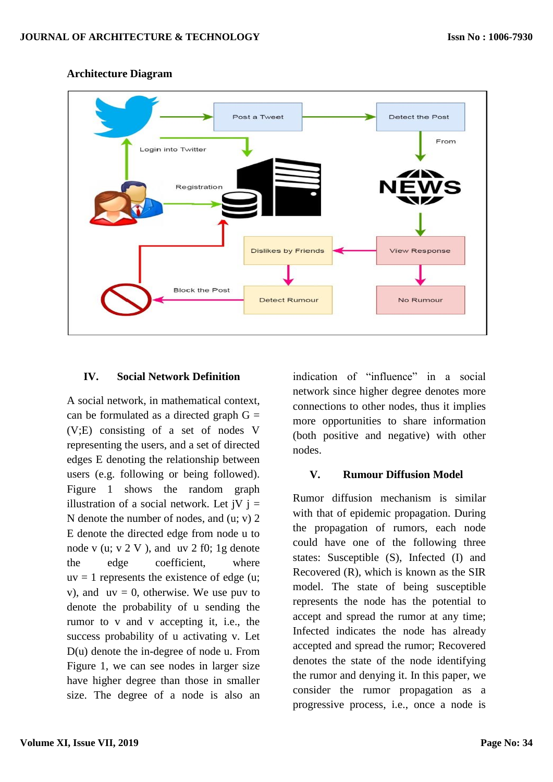

#### **Architecture Diagram**

#### **IV. Social Network Definition**

A social network, in mathematical context, can be formulated as a directed graph  $G =$ (V;E) consisting of a set of nodes V representing the users, and a set of directed edges E denoting the relationship between users (e.g. following or being followed). Figure 1 shows the random graph illustration of a social network. Let  $iV$   $j =$ N denote the number of nodes, and (u; v) 2 E denote the directed edge from node u to node v (u;  $v$  2 V), and uv 2 f0; 1g denote the edge coefficient, where  $uv = 1$  represents the existence of edge (u; v), and  $uv = 0$ , otherwise. We use puv to denote the probability of u sending the rumor to v and v accepting it, i.e., the success probability of u activating v. Let D(u) denote the in-degree of node u. From Figure 1, we can see nodes in larger size have higher degree than those in smaller size. The degree of a node is also an indication of "influence" in a social network since higher degree denotes more connections to other nodes, thus it implies more opportunities to share information (both positive and negative) with other nodes.

## **V. Rumour Diffusion Model**

Rumor diffusion mechanism is similar with that of epidemic propagation. During the propagation of rumors, each node could have one of the following three states: Susceptible (S), Infected (I) and Recovered (R), which is known as the SIR model. The state of being susceptible represents the node has the potential to accept and spread the rumor at any time; Infected indicates the node has already accepted and spread the rumor; Recovered denotes the state of the node identifying the rumor and denying it. In this paper, we consider the rumor propagation as a progressive process, i.e., once a node is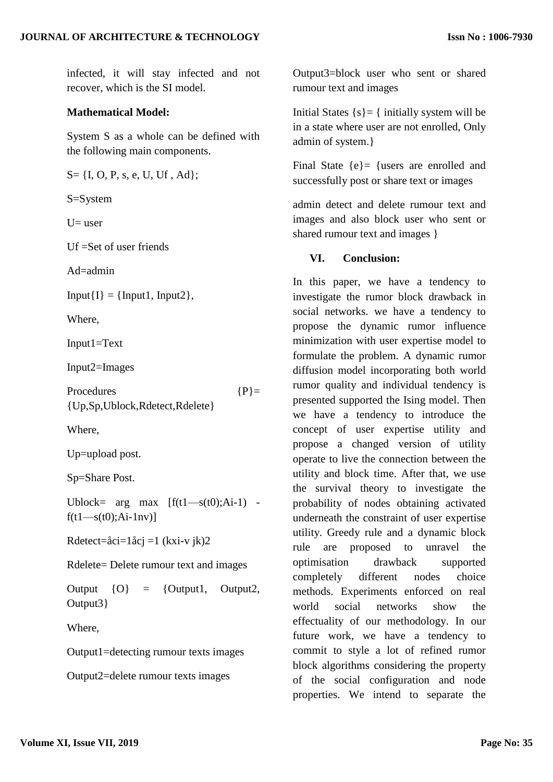infected, it will stay infected and not recover, which is the SI model.

#### **Mathematical Model:**

System S as a whole can be defined with the following main components.

 $S = \{I, O, P, s, e, U, Uf, Ad\};$ 

S=System

 $U=$  user

Uf =Set of user friends

 $Ad$ =admin

 $Input{I} = {Input1, Input2},$ 

Where,

Input1=Text

Input2=Images

Procedures  ${P}$ = {Up,Sp,Ublock,Rdetect,Rdelete}

Where,

Up=upload post.

Sp=Share Post.

Ublock=  $\arg \max$   $[f(t1-s(t0);Ai-1)$  $f(t1—s(t0):Ai-1nv)$ ]

Rdetect=åci=1åcj =1 (kxi-v jk)2

Rdelete= Delete rumour text and images

Output  $\{O\}$  =  $\{Output1, Output2,$ Output3}

Where,

Output1=detecting rumour texts images

Output2=delete rumour texts images

Output3=block user who sent or shared rumour text and images

Initial States  $\{s\} = \{$  initially system will be in a state where user are not enrolled, Only admin of system.}

Final State {e}= {users are enrolled and successfully post or share text or images

admin detect and delete rumour text and images and also block user who sent or shared rumour text and images }

#### **VI. Conclusion:**

In this paper, we have a tendency to investigate the rumor block drawback in social networks. we have a tendency to propose the dynamic rumor influence minimization with user expertise model to formulate the problem. A dynamic rumor diffusion model incorporating both world rumor quality and individual tendency is presented supported the Ising model. Then we have a tendency to introduce the concept of user expertise utility and propose a changed version of utility operate to live the connection between the utility and block time. After that, we use the survival theory to investigate the probability of nodes obtaining activated underneath the constraint of user expertise utility. Greedy rule and a dynamic block rule are proposed to unravel the optimisation drawback supported completely different nodes choice methods. Experiments enforced on real world social networks show the effectuality of our methodology. In our future work, we have a tendency to commit to style a lot of refined rumor block algorithms considering the property of the social configuration and node properties. We intend to separate the